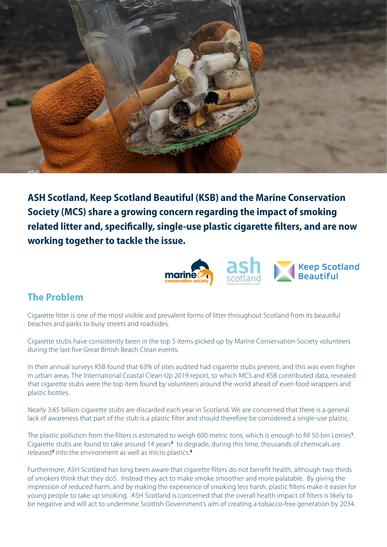

**ASH Scotland, Keep Scotland Beautiful (KSB) and the Marine Conservation Society (MCS) share a growing concern regarding the impact of smoking related litter and, specifically, single-use plastic cigarette filters, and are now working together to tackle the issue.**



## **The Problem**

Cigarette litter is one of the most visible and prevalent forms of litter throughout Scotland from its beautiful beaches and parks to busy streets and roadsides.

Cigarette stubs have consistently been in the top 5 items picked up by Marine Conservation Society volunteers during the last five Great British Beach Clean events.

In their annual surveys KSB found that 63% of sites audited had cigarette stubs present, and this was even higher in urban areas. The International Coastal Clean-Up 2019 report, to which MCS and KSB contributed data, revealed that cigarette stubs were the top item found by volunteers around the world ahead of even food wrappers and plastic bottles.

Nearly 3.65 billion cigarette stubs are discarded each year in Scotland. We are concerned that there is a general lack of awareness that part of the stub is a plastic filter and should therefore be considered a single-use plastic.

The plastic pollution from the filters is estimated to weigh 600 metric tons, which is enough to fill 50 bin Lorries**<sup>1</sup>** . Cigarette stubs are found to take around 14 years**<sup>2</sup>** to degrade, during this time, thousands of chemicals are released**<sup>3</sup>** into the environment as well as micro plastics.**<sup>4</sup>**

Furthermore, ASH Scotland has long been aware that cigarette filters do not benefit health, although two thirds of smokers think that they do5. Instead they act to make smoke smoother and more palatable. By giving the impression of reduced harm, and by making the experience of smoking less harsh, plastic filters make it easier for young people to take up smoking. ASH Scotland is concerned that the overall health impact of filters is likely to be negative and will act to undermine Scottish Government's aim of creating a tobacco-free generation by 2034.